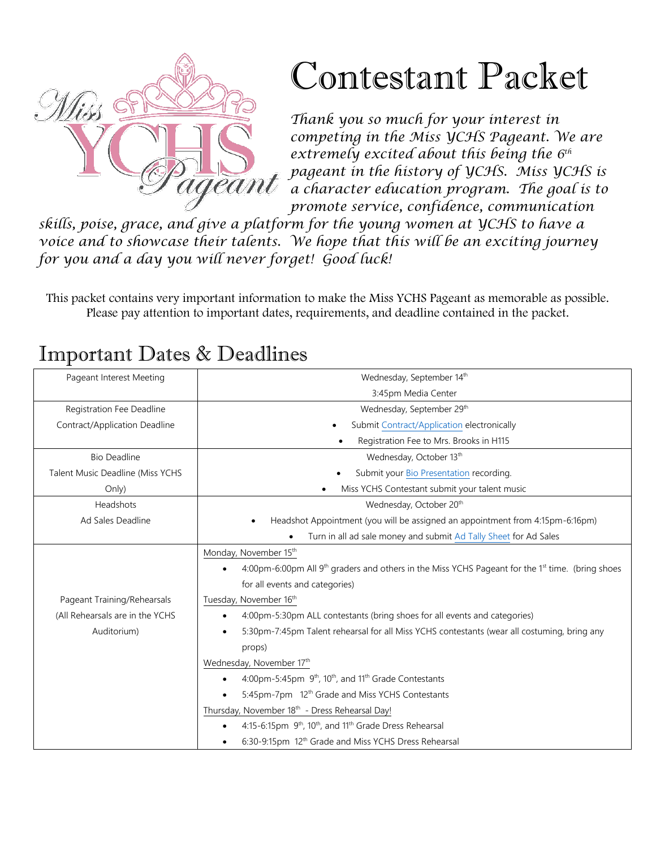

# Contestant Packet

*Thank you so much for your interest in competing in the Miss YCHS Pageant. We are extremely excited about this being the 6 th pageant in the history of YCHS. Miss YCHS is a character education program. The goal is to promote service, confidence, communication* 

*skills, poise, grace, and give a platform for the young women at YCHS to have a voice and to showcase their talents. We hope that this will be an exciting journey for you and a day you will never forget! Good luck!*

This packet contains very important information to make the Miss YCHS Pageant as memorable as possible. Please pay attention to important dates, requirements, and deadline contained in the packet.

#### Pageant Interest Meeting Network and Theorem 2011 and Mednesday, September 14th 3:45pm Media Center Registration Fee Deadline Contract/Application Deadline Wednesday, September 29<sup>th</sup> Submit [Contract/Application](https://forms.gle/DSYM38e5EnTp1D4f6) electronically • Registration Fee to Mrs. Brooks in H115 Bio Deadline Talent Music Deadline (Miss YCHS Only) Wednesday, October 13<sup>th</sup> Submit your [Bio Presentation](https://forms.gle/w7jyFgicmSVyWhoQ6) recording. • Miss YCHS Contestant submit your talent music Headshots Ad Sales Deadline Wednesday, October 20<sup>th</sup> • Headshot Appointment (you will be assigned an appointment from 4:15pm-6:16pm) • Turn in all ad sale money and submi[t Ad Tally Sheet](https://forms.gle/mrthhA56TMm61vE89) for Ad Sales Pageant Training/Rehearsals (All Rehearsals are in the YCHS Auditorium) Monday, November 15<sup>th</sup> 4:00pm-6:00pm All 9<sup>th</sup> graders and others in the Miss YCHS Pageant for the 1<sup>st</sup> time. (bring shoes for all events and categories) Tuesday, November 16<sup>th</sup> • 4:00pm-5:30pm ALL contestants (bring shoes for all events and categories) • 5:30pm-7:45pm Talent rehearsal for all Miss YCHS contestants (wear all costuming, bring any props) Wednesday, November 17<sup>th</sup>  $\bullet$  4:00pm-5:45pm  $9<sup>th</sup>$ , 10<sup>th</sup>, and 11<sup>th</sup> Grade Contestants 5:45pm-7pm 12<sup>th</sup> Grade and Miss YCHS Contestants Thursday, November 18<sup>th</sup> - Dress Rehearsal Day!  $\bullet$  4:15-6:15pm  $9<sup>th</sup>$ , 10<sup>th</sup>, and 11<sup>th</sup> Grade Dress Rehearsal • 6:30-9:15pm 12<sup>th</sup> Grade and Miss YCHS Dress Rehearsal

# Important Dates & Deadlines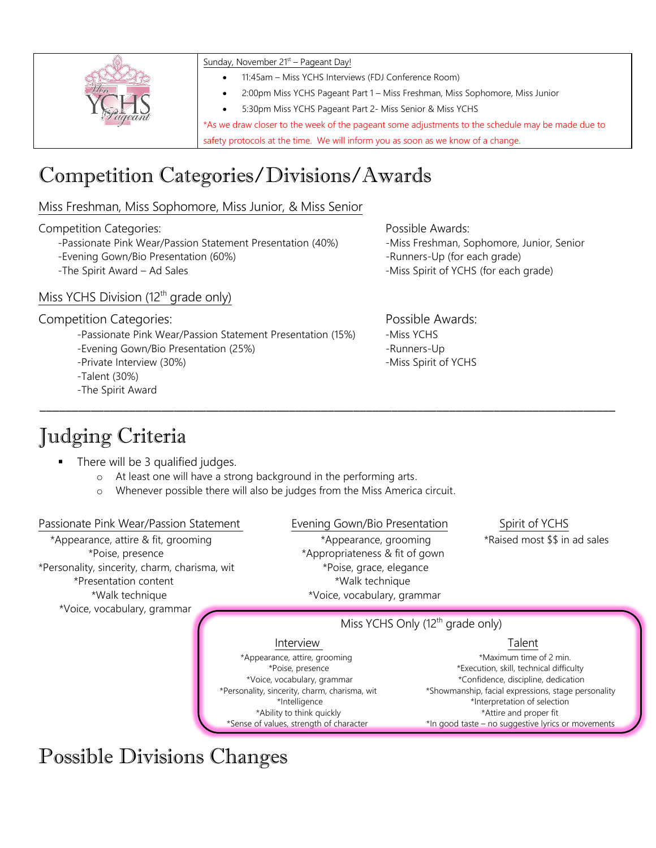| Sunday, November 21 <sup>st</sup> – Pageant Day!                                                  |
|---------------------------------------------------------------------------------------------------|
| 11:45am - Miss YCHS Interviews (FDJ Conference Room)                                              |
| 2:00pm Miss YCHS Pageant Part 1 - Miss Freshman, Miss Sophomore, Miss Junior                      |
| 5:30pm Miss YCHS Pageant Part 2- Miss Senior & Miss YCHS                                          |
| *As we draw closer to the week of the pageant some adjustments to the schedule may be made due to |
| safety protocols at the time. We will inform you as soon as we know of a change.                  |

# Competition Categories/Divisions/Awards

Miss Freshman, Miss Sophomore, Miss Junior, & Miss Senior

Competition Categories: Possible Awards:

-Passionate Pink Wear/Passion Statement Presentation (40%) -Miss Freshman, Sophomore, Junior, Senior -Evening Gown/Bio Presentation (60%) - The second of the second service of the second second second second second second second second second second second second second second second second second second second second sec

### Miss YCHS Division (12<sup>th</sup> grade only)

#### Competition Categories: Competition Categories:

-Passionate Pink Wear/Passion Statement Presentation (15%) -Miss YCHS

- -Evening Gown/Bio Presentation (25%) The Summers-Up -Runners-Up
- -Private Interview (30%) The Second Second Second Second Second Second Second Second Second Second Second Second Second Second Second Second Second Second Second Second Second Second Second Second Second Second Second Se
- -Talent (30%)
- -The Spirit Award

# Judging Criteria

- There will be 3 qualified judges.
	- o At least one will have a strong background in the performing arts.
	- o Whenever possible there will also be judges from the Miss America circuit.

#### Passionate Pink Wear/Passion Statement Evening Gown/Bio Presentation Spirit of YCHS \*Appearance, attire & fit, grooming \*Appearance, grooming \*Raised most \$\$ in ad sales \*Poise, presence \*Appropriateness & fit of gown \*Personality, sincerity, charm, charisma, wit \*Poise, grace, elegance \*Presentation content \*Walk technique \*Walk technique \*Voice, vocabulary, grammar \*Voice, vocabulary, grammar Miss YCHS Only  $(12<sup>th</sup>$  grade only) **Interview Construction Construction Construction Construction Construction Construction Construction Construction** \*Appearance, attire, grooming \*Maximum time of 2 min. \*Poise, presence \*Execution, skill, technical difficulty \*Voice, vocabulary, grammar \*Confidence, discipline, dedication \*Personality, sincerity, charm, charisma, wit \*Showmanship, facial expressions, stage personality \*Intelligence \*Interpretation of selection

\_\_\_\_\_\_\_\_\_\_\_\_\_\_\_\_\_\_\_\_\_\_\_\_\_\_\_\_\_\_\_\_\_\_\_\_\_\_\_\_\_\_\_\_\_\_\_\_\_\_\_\_\_\_\_\_\_\_\_\_\_\_\_\_\_\_\_\_\_\_\_\_\_\_\_\_\_\_\_\_\_\_\_\_\_\_\_\_\_\_

Possible Divisions Changes

-The Spirit Award – Ad Sales -Miss Spirit of YCHS (for each grade)

 \*Ability to think quickly \*Attire and proper fit \*Sense of values, strength of character \*In good taste – no suggestive lyrics or movements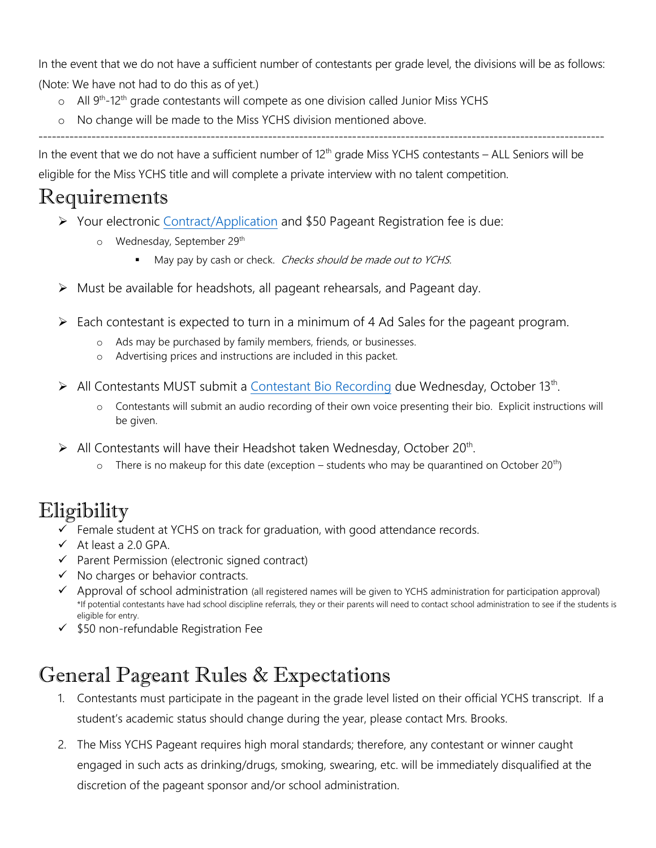In the event that we do not have a sufficient number of contestants per grade level, the divisions will be as follows: (Note: We have not had to do this as of yet.)

- $\circ$  All 9<sup>th</sup>-12<sup>th</sup> grade contestants will compete as one division called Junior Miss YCHS
- o No change will be made to the Miss YCHS division mentioned above.

--------------------------------------------------------------------------------------------------------------------------------

In the event that we do not have a sufficient number of  $12<sup>th</sup>$  grade Miss YCHS contestants – ALL Seniors will be eligible for the Miss YCHS title and will complete a private interview with no talent competition.

## Requirements

- ➢ Your electronic [Contract/Application](https://forms.gle/DSYM38e5EnTp1D4f6) and \$50 Pageant Registration fee is due:
	- o Wednesday, September 29<sup>th</sup>
		- May pay by cash or check. *Checks should be made out to YCHS.*
- ➢ Must be available for headshots, all pageant rehearsals, and Pageant day.
- ➢ Each contestant is expected to turn in a minimum of 4 Ad Sales for the pageant program.
	- o Ads may be purchased by family members, friends, or businesses.
	- o Advertising prices and instructions are included in this packet.
- ▶ All Contestants MUST submit a [Contestant Bio](https://forms.gle/w7jyFgicmSVyWhoQ6) Recording due Wednesday, October 13<sup>th</sup>.
	- o Contestants will submit an audio recording of their own voice presenting their bio. Explicit instructions will be given.
- $\triangleright$  All Contestants will have their Headshot taken Wednesday, October 20<sup>th</sup>.
	- $\circ$  There is no makeup for this date (exception students who may be quarantined on October 20<sup>th</sup>)

## Eligibility

- $\checkmark$  Female student at YCHS on track for graduation, with good attendance records.
- $\checkmark$  At least a 2.0 GPA.
- ✓ Parent Permission (electronic signed contract)
- ✓ No charges or behavior contracts.
- ✓ Approval of school administration (all registered names will be given to YCHS administration for participation approval) \*If potential contestants have had school discipline referrals, they or their parents will need to contact school administration to see if the students is eligible for entry.
- ✓ \$50 non-refundable Registration Fee

## General Pageant Rules & Expectations

- 1. Contestants must participate in the pageant in the grade level listed on their official YCHS transcript. If a student's academic status should change during the year, please contact Mrs. Brooks.
- 2. The Miss YCHS Pageant requires high moral standards; therefore, any contestant or winner caught engaged in such acts as drinking/drugs, smoking, swearing, etc. will be immediately disqualified at the discretion of the pageant sponsor and/or school administration.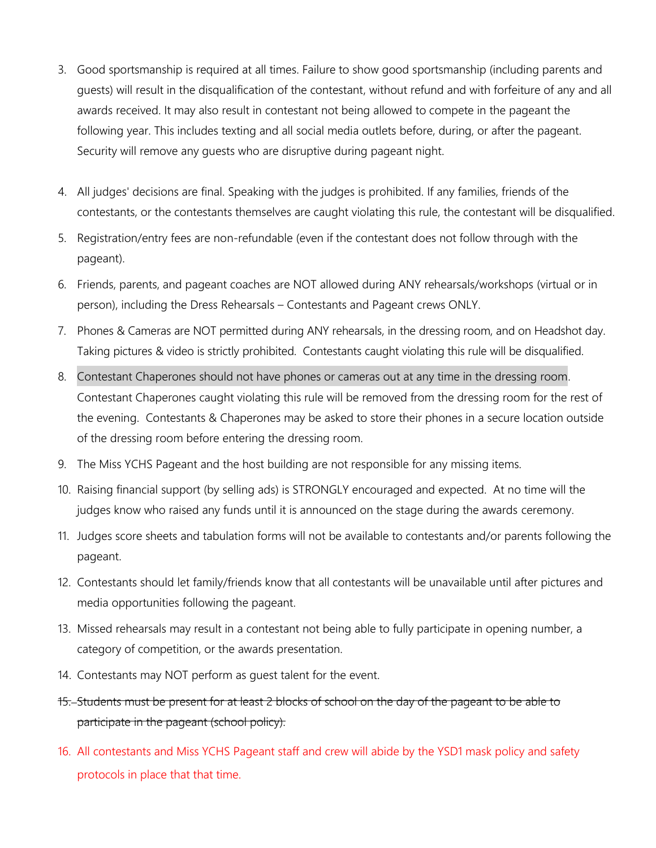- 3. Good sportsmanship is required at all times. Failure to show good sportsmanship (including parents and guests) will result in the disqualification of the contestant, without refund and with forfeiture of any and all awards received. It may also result in contestant not being allowed to compete in the pageant the following year. This includes texting and all social media outlets before, during, or after the pageant. Security will remove any guests who are disruptive during pageant night.
- 4. All judges' decisions are final. Speaking with the judges is prohibited. If any families, friends of the contestants, or the contestants themselves are caught violating this rule, the contestant will be disqualified.
- 5. Registration/entry fees are non-refundable (even if the contestant does not follow through with the pageant).
- 6. Friends, parents, and pageant coaches are NOT allowed during ANY rehearsals/workshops (virtual or in person), including the Dress Rehearsals – Contestants and Pageant crews ONLY.
- 7. Phones & Cameras are NOT permitted during ANY rehearsals, in the dressing room, and on Headshot day. Taking pictures & video is strictly prohibited. Contestants caught violating this rule will be disqualified.
- 8. Contestant Chaperones should not have phones or cameras out at any time in the dressing room. Contestant Chaperones caught violating this rule will be removed from the dressing room for the rest of the evening. Contestants & Chaperones may be asked to store their phones in a secure location outside of the dressing room before entering the dressing room.
- 9. The Miss YCHS Pageant and the host building are not responsible for any missing items.
- 10. Raising financial support (by selling ads) is STRONGLY encouraged and expected. At no time will the judges know who raised any funds until it is announced on the stage during the awards ceremony.
- 11. Judges score sheets and tabulation forms will not be available to contestants and/or parents following the pageant.
- 12. Contestants should let family/friends know that all contestants will be unavailable until after pictures and media opportunities following the pageant.
- 13. Missed rehearsals may result in a contestant not being able to fully participate in opening number, a category of competition, or the awards presentation.
- 14. Contestants may NOT perform as guest talent for the event.
- 15. Students must be present for at least 2 blocks of school on the day of the pageant to be able to participate in the pageant (school policy).
- 16. All contestants and Miss YCHS Pageant staff and crew will abide by the YSD1 mask policy and safety protocols in place that that time.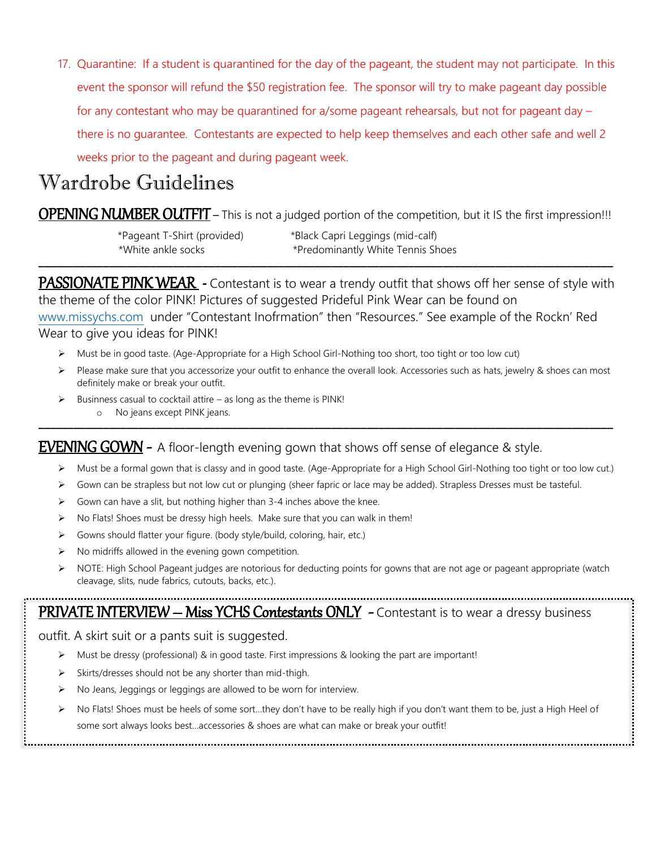17. Quarantine: If a student is quarantined for the day of the pageant, the student may not participate. In this event the sponsor will refund the \$50 registration fee. The sponsor will try to make pageant day possible for any contestant who may be quarantined for a/some pageant rehearsals, but not for pageant day – there is no guarantee. Contestants are expected to help keep themselves and each other safe and well 2 weeks prior to the pageant and during pageant week.

## Wardrobe Guidelines

**OPENING NUMBER OUTFIT** – This is not a judged portion of the competition, but it IS the first impression!!!

 \*Pageant T-Shirt (provided) \*Black Capri Leggings (mid-calf) \*White ankle socks \*Predominantly White Tennis Shoes **\_\_\_\_\_\_\_\_\_\_\_\_\_\_\_\_\_\_\_\_\_\_\_\_\_\_\_\_\_\_\_\_\_\_\_\_\_\_\_\_\_\_\_\_\_\_\_\_\_\_\_\_\_\_\_\_\_\_\_\_\_\_\_\_\_\_\_\_\_\_\_\_\_\_\_\_\_\_\_\_\_\_\_\_\_\_\_\_\_\_\_\_\_\_\_\_\_\_**

PASSIONATE PINK WEAR **-** Contestant is to wear a trendy outfit that shows off her sense of style with the theme of the color PINK! Pictures of suggested Prideful Pink Wear can be found on [www.missychs.com](http://www.missychs.com/) under "Contestant Inofrmation" then "Resources." See example of the Rockn' Red Wear to give you ideas for PINK!

- ➢ Must be in good taste. (Age-Appropriate for a High School Girl-Nothing too short, too tight or too low cut)
- ➢ Please make sure that you accessorize your outfit to enhance the overall look. Accessories such as hats, jewelry & shoes can most definitely make or break your outfit.
- $\triangleright$  Businness casual to cocktail attire as long as the theme is PINK!
- o No jeans except PINK jeans. **\_\_\_\_\_\_\_\_\_\_\_\_\_\_\_\_\_\_\_\_\_\_\_\_\_\_\_\_\_\_\_\_\_\_\_\_\_\_\_\_\_\_\_\_\_\_\_\_\_\_\_\_\_\_\_\_\_\_\_\_\_\_\_\_\_\_\_\_\_\_\_\_\_\_\_\_\_\_\_\_\_\_\_\_\_\_\_\_\_\_\_\_\_\_\_\_\_\_**

## **EVENING GOWN** - A floor-length evening gown that shows off sense of elegance & style.

- ➢ Must be a formal gown that is classy and in good taste. (Age-Appropriate for a High School Girl-Nothing too tight or too low cut.)
- ➢ Gown can be strapless but not low cut or plunging (sheer fapric or lace may be added). Strapless Dresses must be tasteful.
- $\triangleright$  Gown can have a slit, but nothing higher than 3-4 inches above the knee.
- ➢ No Flats! Shoes must be dressy high heels. Make sure that you can walk in them!
- ➢ Gowns should flatter your figure. (body style/build, coloring, hair, etc.)
- ➢ No midriffs allowed in the evening gown competition.
- NOTE: High School Pageant judges are notorious for deducting points for gowns that are not age or pageant appropriate (watch cleavage, slits, nude fabrics, cutouts, backs, etc.).

## PRIVATE INTERVIEW – Miss YCHS Contestants ONLY - Contestant is to wear a dressy business

outfit. A skirt suit or a pants suit is suggested.

- ➢ Must be dressy (professional) & in good taste. First impressions & looking the part are important!
- Skirts/dresses should not be any shorter than mid-thigh.
- ➢ No Jeans, Jeggings or leggings are allowed to be worn for interview.
- ➢ No Flats! Shoes must be heels of some sort…they don't have to be really high if you don't want them to be, just a High Heel of some sort always looks best…accessories & shoes are what can make or break your outfit!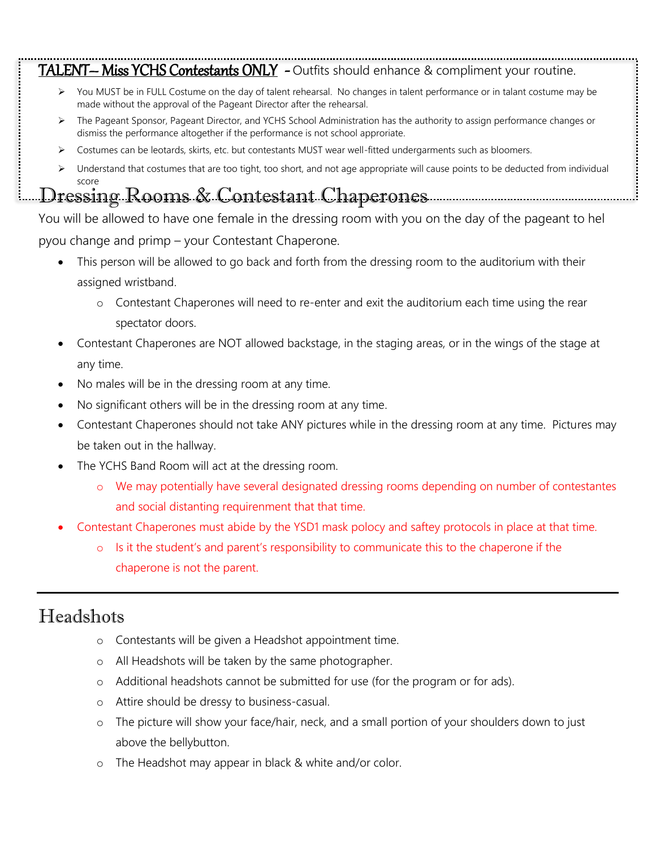# TALENT— Miss YCHS Contestants ONLY - Outfits should enhance & compliment your routine.

- ➢ You MUST be in FULL Costume on the day of talent rehearsal. No changes in talent performance or in talant costume may be made without the approval of the Pageant Director after the rehearsal.
- ➢ The Pageant Sponsor, Pageant Director, and YCHS School Administration has the authority to assign performance changes or dismiss the performance altogether if the performance is not school approriate.
- ➢ Costumes can be leotards, skirts, etc. but contestants MUST wear well-fitted undergarments such as bloomers.
- ➢ Understand that costumes that are too tight, too short, and not age appropriate will cause points to be deducted from individual score

## Dressing Rooms & Contestant Chaperones

You will be allowed to have one female in the dressing room with you on the day of the pageant to hel pyou change and primp – your Contestant Chaperone.

- This person will be allowed to go back and forth from the dressing room to the auditorium with their assigned wristband.
	- o Contestant Chaperones will need to re-enter and exit the auditorium each time using the rear spectator doors.
- Contestant Chaperones are NOT allowed backstage, in the staging areas, or in the wings of the stage at any time.
- No males will be in the dressing room at any time.
- No significant others will be in the dressing room at any time.
- Contestant Chaperones should not take ANY pictures while in the dressing room at any time. Pictures may be taken out in the hallway.
- The YCHS Band Room will act at the dressing room.
	- o We may potentially have several designated dressing rooms depending on number of contestantes and social distanting requirenment that that time.
- Contestant Chaperones must abide by the YSD1 mask polocy and saftey protocols in place at that time.
	- o Is it the student's and parent's responsibility to communicate this to the chaperone if the chaperone is not the parent.

## Headshots

- o Contestants will be given a Headshot appointment time.
- o All Headshots will be taken by the same photographer.
- o Additional headshots cannot be submitted for use (for the program or for ads).
- o Attire should be dressy to business-casual.
- o The picture will show your face/hair, neck, and a small portion of your shoulders down to just above the bellybutton.
- o The Headshot may appear in black & white and/or color.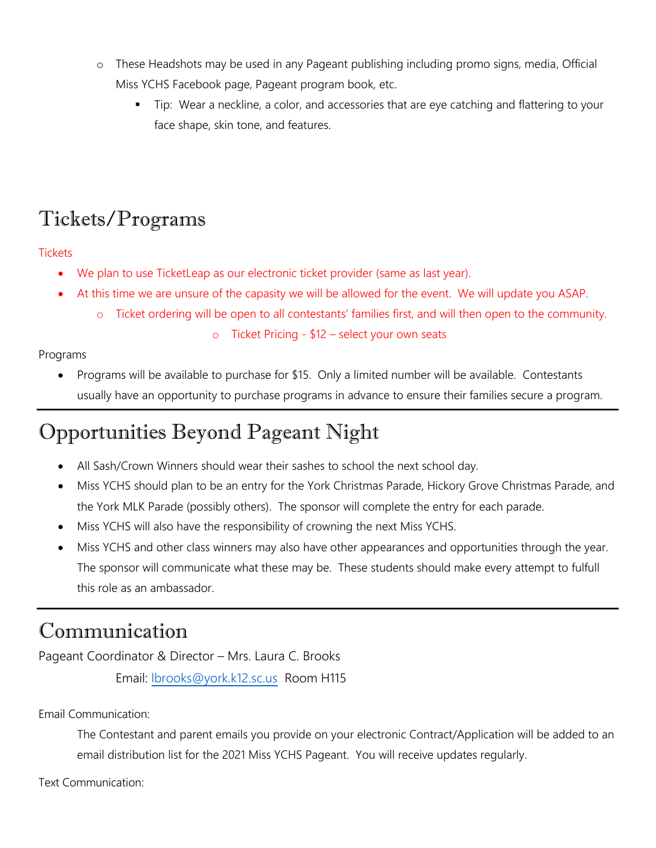- o These Headshots may be used in any Pageant publishing including promo signs, media, Official Miss YCHS Facebook page, Pageant program book, etc.
	- Tip: Wear a neckline, a color, and accessories that are eye catching and flattering to your face shape, skin tone, and features.

## Tickets/Programs

### **Tickets**

- We plan to use TicketLeap as our electronic ticket provider (same as last year).
- At this time we are unsure of the capasity we will be allowed for the event. We will update you ASAP.
	- Ticket ordering will be open to all contestants' families first, and will then open to the community.
		- o Ticket Pricing \$12 select your own seats

## Programs

• Programs will be available to purchase for \$15. Only a limited number will be available. Contestants usually have an opportunity to purchase programs in advance to ensure their families secure a program.

# Opportunities Beyond Pageant Night

- All Sash/Crown Winners should wear their sashes to school the next school day.
- Miss YCHS should plan to be an entry for the York Christmas Parade, Hickory Grove Christmas Parade, and the York MLK Parade (possibly others). The sponsor will complete the entry for each parade.
- Miss YCHS will also have the responsibility of crowning the next Miss YCHS.
- Miss YCHS and other class winners may also have other appearances and opportunities through the year. The sponsor will communicate what these may be. These students should make every attempt to fulfull this role as an ambassador.

## Communication

Pageant Coordinator & Director – Mrs. Laura C. Brooks

Email: [lbrooks@york.k12.sc.us](mailto:lbrooks@york.k12.sc.us) Room H115

Email Communication:

The Contestant and parent emails you provide on your electronic Contract/Application will be added to an email distribution list for the 2021 Miss YCHS Pageant. You will receive updates regularly.

Text Communication: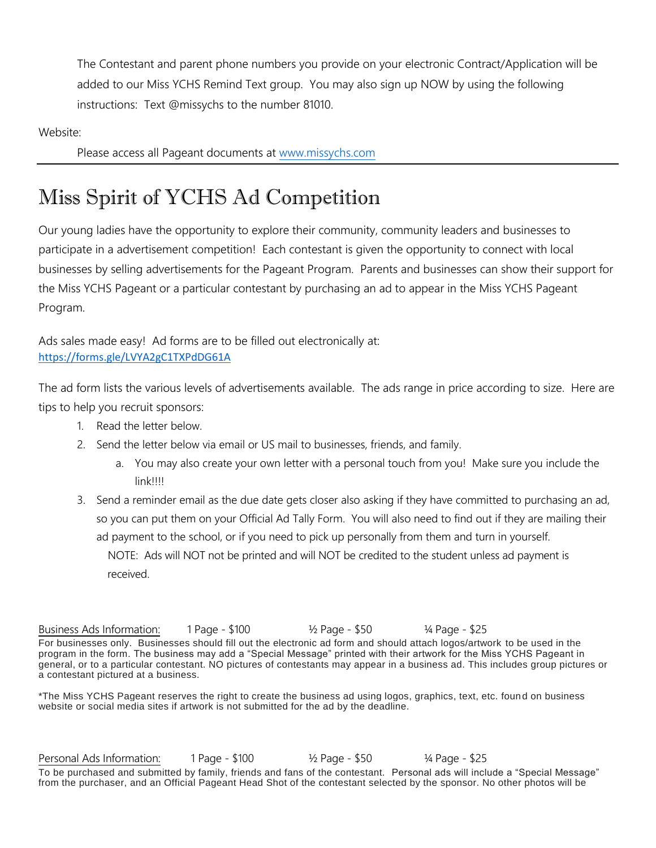The Contestant and parent phone numbers you provide on your electronic Contract/Application will be added to our Miss YCHS Remind Text group. You may also sign up NOW by using the following instructions: Text @missychs to the number 81010.

Website:

Please access all Pageant documents at [www.missychs.com](http://www.missychs.com/)

# Miss Spirit of YCHS Ad Competition

Our young ladies have the opportunity to explore their community, community leaders and businesses to participate in a advertisement competition! Each contestant is given the opportunity to connect with local businesses by selling advertisements for the Pageant Program. Parents and businesses can show their support for the Miss YCHS Pageant or a particular contestant by purchasing an ad to appear in the Miss YCHS Pageant Program.

Ads sales made easy! Ad forms are to be filled out electronically at: <https://forms.gle/LVYA2gC1TXPdDG61A>

The ad form lists the various levels of advertisements available. The ads range in price according to size. Here are tips to help you recruit sponsors:

- 1. Read the letter below.
- 2. Send the letter below via email or US mail to businesses, friends, and family.
	- a. You may also create your own letter with a personal touch from you! Make sure you include the link!!!!
- 3. Send a reminder email as the due date gets closer also asking if they have committed to purchasing an ad, so you can put them on your Official Ad Tally Form. You will also need to find out if they are mailing their ad payment to the school, or if you need to pick up personally from them and turn in yourself. NOTE: Ads will NOT not be printed and will NOT be credited to the student unless ad payment is
	- received.

Business Ads Information: 1 Page - \$100 ½ Page - \$50 ¼ Page - \$25 For businesses only. Businesses should fill out the electronic ad form and should attach logos/artwork to be used in the program in the form. The business may add a "Special Message" printed with their artwork for the Miss YCHS Pageant in general, or to a particular contestant. NO pictures of contestants may appear in a business ad. This includes group pictures or a contestant pictured at a business.

\*The Miss YCHS Pageant reserves the right to create the business ad using logos, graphics, text, etc. found on business website or social media sites if artwork is not submitted for the ad by the deadline.

Personal Ads Information: 1 Page - \$100 ½ Page - \$50 ¼ Page - \$25 To be purchased and submitted by family, friends and fans of the contestant. Personal ads will include a "Special Message" from the purchaser, and an Official Pageant Head Shot of the contestant selected by the sponsor. No other photos will be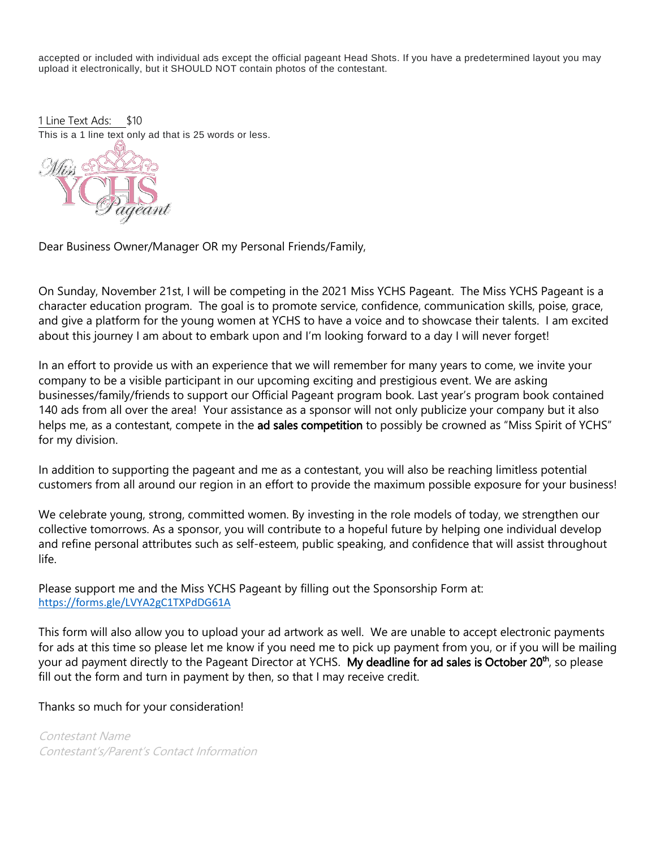accepted or included with individual ads except the official pageant Head Shots. If you have a predetermined layout you may upload it electronically, but it SHOULD NOT contain photos of the contestant.

1 Line Text Ads: \$10 This is a 1 line text only ad that is 25 words or less.



Dear Business Owner/Manager OR my Personal Friends/Family,

On Sunday, November 21st, I will be competing in the 2021 Miss YCHS Pageant. The Miss YCHS Pageant is a character education program. The goal is to promote service, confidence, communication skills, poise, grace, and give a platform for the young women at YCHS to have a voice and to showcase their talents. I am excited about this journey I am about to embark upon and I'm looking forward to a day I will never forget!

In an effort to provide us with an experience that we will remember for many years to come, we invite your company to be a visible participant in our upcoming exciting and prestigious event. We are asking businesses/family/friends to support our Official Pageant program book. Last year's program book contained 140 ads from all over the area! Your assistance as a sponsor will not only publicize your company but it also helps me, as a contestant, compete in the ad sales competition to possibly be crowned as "Miss Spirit of YCHS" for my division.

In addition to supporting the pageant and me as a contestant, you will also be reaching limitless potential customers from all around our region in an effort to provide the maximum possible exposure for your business!

We celebrate young, strong, committed women. By investing in the role models of today, we strengthen our collective tomorrows. As a sponsor, you will contribute to a hopeful future by helping one individual develop and refine personal attributes such as self-esteem, public speaking, and confidence that will assist throughout life.

Please support me and the Miss YCHS Pageant by filling out the Sponsorship Form at: <https://forms.gle/LVYA2gC1TXPdDG61A>

This form will also allow you to upload your ad artwork as well. We are unable to accept electronic payments for ads at this time so please let me know if you need me to pick up payment from you, or if you will be mailing your ad payment directly to the Pageant Director at YCHS. My deadline for ad sales is October 20<sup>th</sup>, so please fill out the form and turn in payment by then, so that I may receive credit.

Thanks so much for your consideration!

Contestant Name Contestant's/Parent's Contact Information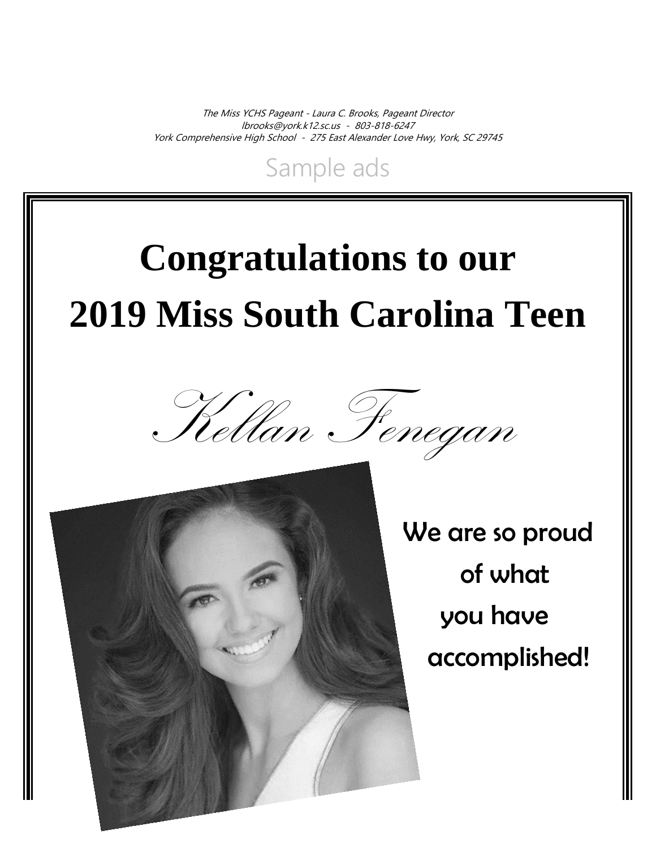The Miss YCHS Pageant - Laura C. Brooks, Pageant Director [lbrooks@york.k12.sc.us](mailto:lbrooks@york.k12.sc.us) - 803-818-6247 York Comprehensive High School - 275 East Alexander Love Hwy, York, SC 29745

Sample ads

# **Congratulations to our 2019 Miss South Carolina Teen**





 We are so proud of what you have accomplished!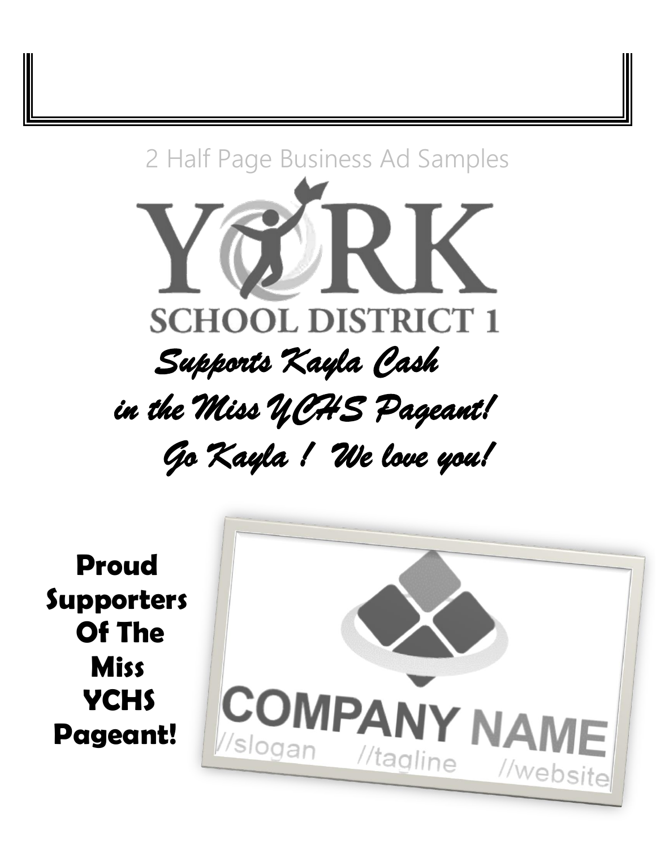

 **Proud Supporters Of The Miss YCHS Pageant!**